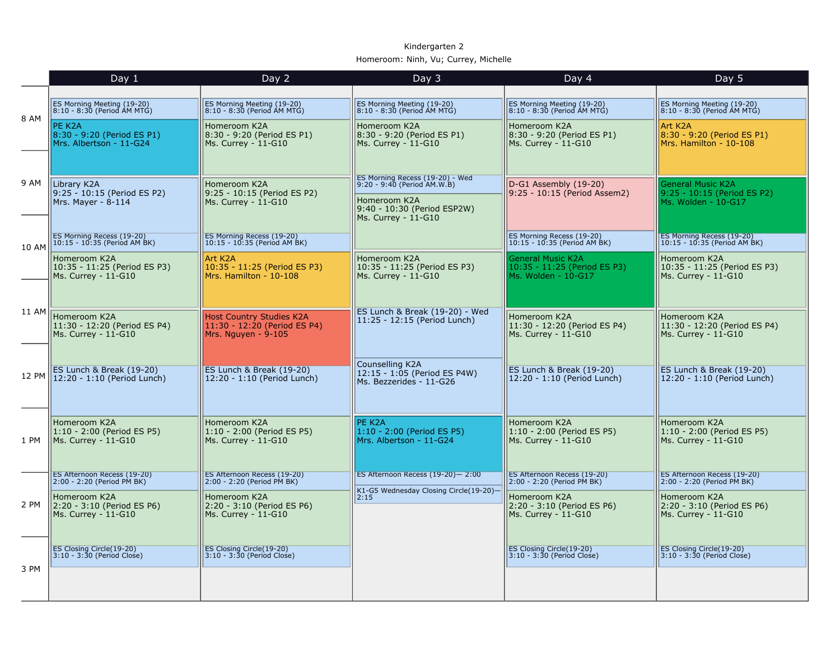## Kindergarten 2 Homeroom: Ninh, Vu; Currey, Michelle

|       | Day 1                                                               | Day 2                                                                                  | Day 3                                                                                                                                | Day 4                                                                           | Day 5                                                                          |
|-------|---------------------------------------------------------------------|----------------------------------------------------------------------------------------|--------------------------------------------------------------------------------------------------------------------------------------|---------------------------------------------------------------------------------|--------------------------------------------------------------------------------|
|       |                                                                     |                                                                                        |                                                                                                                                      |                                                                                 |                                                                                |
| 8 AM  | ES Morning Meeting (19-20)<br>8:10 - 8:30 (Period AM MTG)           | ES Morning Meeting (19-20)<br>8:10 - 8:30 (Period AM MTG)                              | ES Morning Meeting (19-20)<br>8:10 - 8:30 (Period AM MTG)                                                                            | ES Morning Meeting (19-20)<br>8:10 - 8:30 (Period AM MTG)                       | ES Morning Meeting (19-20)<br>8:10 - 8:30 (Period AM MTG)                      |
|       | PE K2A<br>8:30 - 9:20 (Period ES P1)<br>Mrs. Albertson - 11-G24     | Homeroom K2A<br>8:30 - 9:20 (Period ES P1)<br>Ms. Currey - 11-G10                      | Homeroom K2A<br>8:30 - 9:20 (Period ES P1)<br>Ms. Currey - 11-G10                                                                    | Homeroom K2A<br>8:30 - 9:20 (Period ES P1)<br>Ms. Currey - 11-G10               | Art K <sub>2</sub> A<br>8:30 - 9:20 (Period ES P1)<br>Mrs. Hamilton - 10-108   |
| 9 AM  | Library K2A<br>9:25 - 10:15 (Period ES P2)<br>Mrs. Mayer - 8-114    | Homeroom K2A<br>9:25 - 10:15 (Period ES P2)<br>Ms. Currev - 11-G10                     | ES Morning Recess (19-20) - Wed<br>9:20 - 9:40 (Period AM.W.B)<br>Homeroom K2A<br>9:40 - 10:30 (Period ESP2W)<br>Ms. Currey - 11-G10 | D-G1 Assembly (19-20)<br>9:25 - 10:15 (Period Assem2)                           | <b>General Music K2A</b><br>9:25 - 10:15 (Period ES P2)<br>Ms. Wolden - 10-G17 |
| 10 AM | ES Morning Recess (19-20)<br>10:15 - 10:35 (Period AM BK)           | ES Morning Recess (19-20)<br>10:15 - 10:35 (Period AM BK)                              |                                                                                                                                      | ES Morning Recess (19-20)<br>10:15 - 10:35 (Period AM BK)                       | ES Morning Recess (19-20)<br>10:15 - 10:35 (Period AM BK)                      |
|       | Homeroom K2A<br>10:35 - 11:25 (Period ES P3)<br>Ms. Currey - 11-G10 | Art K2A<br>10:35 - 11:25 (Period ES P3)<br>Mrs. Hamilton - 10-108                      | Homeroom K2A<br>10:35 - 11:25 (Period ES P3)<br>Ms. Currey - 11-G10                                                                  | <b>General Music K2A</b><br>10:35 - 11:25 (Period ES P3)<br>Ms. Wolden - 10-G17 | Homeroom K2A<br>10:35 - 11:25 (Period ES P3)<br>Ms. Currey - 11-G10            |
| 11 AM | Homeroom K2A<br>11:30 - 12:20 (Period ES P4)<br>Ms. Currey - 11-G10 | <b>Host Country Studies K2A</b><br>11:30 - 12:20 (Period ES P4)<br>Mrs. Nguyen - 9-105 | ES Lunch & Break (19-20) - Wed<br>11:25 - 12:15 (Period Lunch)                                                                       | Homeroom K2A<br>11:30 - 12:20 (Period ES P4)<br>$MS.$ Currey - 11-G10           | Homeroom K2A<br>11:30 - 12:20 (Period ES P4)<br>Ms. Currey - 11-G10            |
| 12 PM | ES Lunch & Break (19-20)<br>12:20 - 1:10 (Period Lunch)             | ES Lunch & Break (19-20)<br>12:20 - 1:10 (Period Lunch)                                | Counselling K2A<br>12:15 - 1:05 (Period ES P4W)<br>Ms. Bezzerides - 11-G26                                                           | ES Lunch & Break (19-20)<br>$12:20 - 1:10$ (Period Lunch)                       | ES Lunch & Break (19-20)<br>12:20 - 1:10 (Period Lunch)                        |
| 1 PM  | Homeroom K2A<br>1:10 - 2:00 (Period ES P5)<br>Ms. Currey - 11-G10   | Homeroom K2A<br>1:10 - 2:00 (Period ES P5)<br>Ms. Currey - 11-G10                      | PE K2A<br>$1:10 - 2:00$ (Period ES P5)<br>Mrs. Albertson - 11-G24                                                                    | Homeroom K2A<br>1:10 - 2:00 (Period ES P5)<br>Ms. Currey - 11-G10               | Homeroom K2A<br>1:10 - 2:00 (Period ES P5)<br>Ms. Currey - 11-G10              |
|       | ES Afternoon Recess (19-20)<br>2:00 - 2:20 (Period PM BK)           | ES Afternoon Recess (19-20)<br>2:00 - 2:20 (Period PM BK)                              | ES Afternoon Recess (19-20)-2:00                                                                                                     | ES Afternoon Recess (19-20)<br>2:00 - 2:20 (Period PM BK)                       | ES Afternoon Recess (19-20)<br>2:00 - 2:20 (Period PM BK)                      |
| 2 PM  | Homeroom K2A<br>2:20 - 3:10 (Period ES P6)<br>Ms. Currey - 11-G10   | Homeroom K2A<br>2:20 - 3:10 (Period ES P6)<br>Ms. Currey - 11-G10                      | K1-G5 Wednesday Closing Circle(19-20)-<br>2:15                                                                                       | Homeroom K2A<br>2:20 - 3:10 (Period ES P6)<br>Ms. Currey - 11-G10               | Homeroom K2A<br>2:20 - 3:10 (Period ES P6)<br>Ms. Currey - 11-G10              |
| 3 PM  | ES Closing Circle(19-20)<br>$3:10 - 3:30$ (Period Close)            | <b>ES Closing Circle(19-20)</b><br>$ 3:10 - 3:30$ (Period Close)                       |                                                                                                                                      | <b>ES Closing Circle(19-20)</b><br>$ 3:10 - 3:30$ (Period Close)                | ES Closing Circle(19-20)<br>$3:10 - 3:30$ (Period Close)                       |